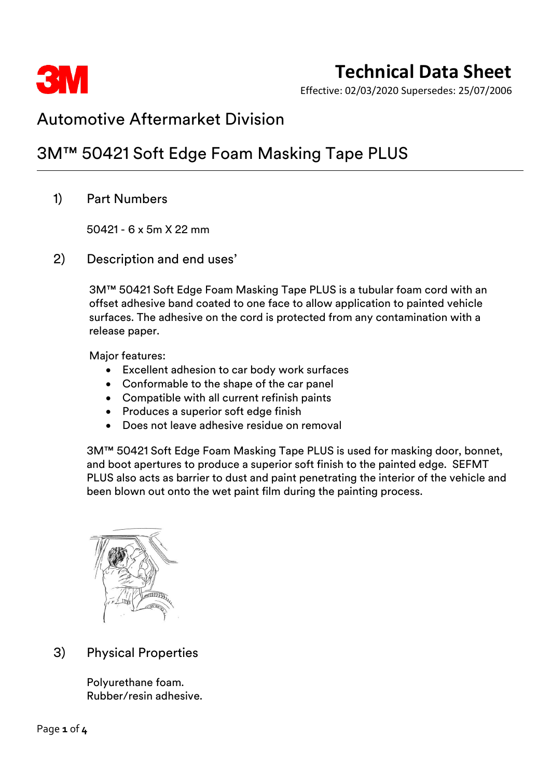

Effective: 02/03/2020 Supersedes: 25/07/2006

### Automotive Aftermarket Division

## 3M™ 50421 Soft Edge Foam Masking Tape PLUS

1) Part Numbers

50421 - 6 x 5m X 22 mm

2) Description and end uses'

3M™ 50421 Soft Edge Foam Masking Tape PLUS is a tubular foam cord with an offset adhesive band coated to one face to allow application to painted vehicle surfaces. The adhesive on the cord is protected from any contamination with a release paper.

Major features:

- Excellent adhesion to car body work surfaces
- Conformable to the shape of the car panel
- Compatible with all current refinish paints
- Produces a superior soft edge finish
- Does not leave adhesive residue on removal

3M™ 50421 Soft Edge Foam Masking Tape PLUS is used for masking door, bonnet, and boot apertures to produce a superior soft finish to the painted edge. SEFMT PLUS also acts as barrier to dust and paint penetrating the interior of the vehicle and been blown out onto the wet paint film during the painting process.



### 3) Physical Properties

Polyurethane foam. Rubber/resin adhesive.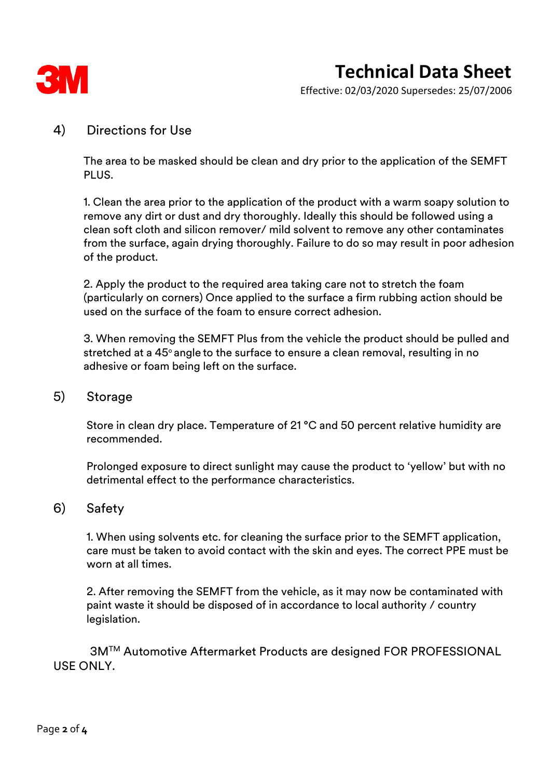

Effective: 02/03/2020 Supersedes: 25/07/2006

#### 4) Directions for Use

The area to be masked should be clean and dry prior to the application of the SEMFT PLUS.

1. Clean the area prior to the application of the product with a warm soapy solution to remove any dirt or dust and dry thoroughly. Ideally this should be followed using a clean soft cloth and silicon remover/ mild solvent to remove any other contaminates from the surface, again drying thoroughly. Failure to do so may result in poor adhesion of the product.

2. Apply the product to the required area taking care not to stretch the foam (particularly on corners) Once applied to the surface a firm rubbing action should be used on the surface of the foam to ensure correct adhesion.

3. When removing the SEMFT Plus from the vehicle the product should be pulled and stretched at a 45° angle to the surface to ensure a clean removal, resulting in no adhesive or foam being left on the surface.

#### 5) Storage

Store in clean dry place. Temperature of 21 °C and 50 percent relative humidity are recommended.

Prolonged exposure to direct sunlight may cause the product to 'yellow' but with no detrimental effect to the performance characteristics.

#### 6) Safety

1. When using solvents etc. for cleaning the surface prior to the SEMFT application, care must be taken to avoid contact with the skin and eyes. The correct PPE must be worn at all times.

2. After removing the SEMFT from the vehicle, as it may now be contaminated with paint waste it should be disposed of in accordance to local authority / country legislation.

3M™ Automotive Aftermarket Products are designed FOR PROFESSIONAL USE ONLY.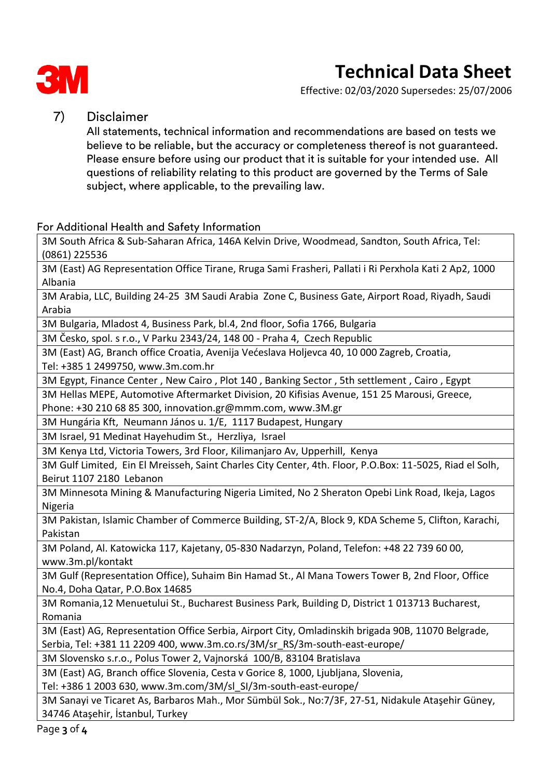

# **Technical Data Sheet**

Effective: 02/03/2020 Supersedes: 25/07/2006

#### 7) Disclaimer

All statements, technical information and recommendations are based on tests we believe to be reliable, but the accuracy or completeness thereof is not guaranteed. Please ensure before using our product that it is suitable for your intended use. All questions of reliability relating to this product are governed by the Terms of Sale subject, where applicable, to the prevailing law.

#### For Additional Health and Safety Information

3M South Africa & Sub-Saharan Africa, 146A Kelvin Drive, Woodmead, Sandton, South Africa, Tel: (0861) 225536

3M (East) AG Representation Office Tirane, Rruga Sami Frasheri, Pallati i Ri Perxhola Kati 2 Ap2, 1000 Albania

3M Arabia, LLC, Building 24-25 3M Saudi Arabia Zone C, Business Gate, Airport Road, Riyadh, Saudi Arabia

3M Bulgaria, Mladost 4, Business Park, bl.4, 2nd floor, Sofia 1766, Bulgaria

3M Česko, spol. s r.o., V Parku 2343/24, 148 00 - Praha 4, Czech Republic

3M (East) AG, Branch office Croatia, Avenija Većeslava Holjevca 40, 10 000 Zagreb, Croatia, Tel: +385 1 2499750, www.3m.com.hr

3M Egypt, Finance Center , New Cairo , Plot 140 , Banking Sector , 5th settlement , Cairo , Egypt

3M Hellas MEPE, Automotive Aftermarket Division, 20 Kifisias Avenue, 151 25 Marousi, Greece,

Phone: +30 210 68 85 300, innovation.gr@mmm.com, www.3M.gr

3M Hungária Kft, Neumann János u. 1/E, 1117 Budapest, Hungary

3M Israel, 91 Medinat Hayehudim St., Herzliya, Israel

3M Kenya Ltd, Victoria Towers, 3rd Floor, Kilimanjaro Av, Upperhill, Kenya

3M Gulf Limited, Ein El Mreisseh, Saint Charles City Center, 4th. Floor, P.O.Box: 11-5025, Riad el Solh, Beirut 1107 2180 Lebanon

3M Minnesota Mining & Manufacturing Nigeria Limited, No 2 Sheraton Opebi Link Road, Ikeja, Lagos Nigeria

3M Pakistan, Islamic Chamber of Commerce Building, ST-2/A, Block 9, KDA Scheme 5, Clifton, Karachi, Pakistan

3M Poland, Al. Katowicka 117, Kajetany, 05-830 Nadarzyn, Poland, Telefon: +48 22 739 60 00, www.3m.pl/kontakt

3M Gulf (Representation Office), Suhaim Bin Hamad St., Al Mana Towers Tower B, 2nd Floor, Office No.4, Doha Qatar, P.O.Box 14685

3M Romania,12 Menuetului St., Bucharest Business Park, Building D, District 1 013713 Bucharest, Romania

3M (East) AG, Representation Office Serbia, Airport City, Omladinskih brigada 90B, 11070 Belgrade, Serbia, Tel: +381 11 2209 400, www.3m.co.rs/3M/sr\_RS/3m-south-east-europe/

3M Slovensko s.r.o., Polus Tower 2, Vajnorská 100/B, 83104 Bratislava

3M (East) AG, Branch office Slovenia, Cesta v Gorice 8, 1000, Ljubljana, Slovenia, Tel: +386 1 2003 630, www.3m.com/3M/sl\_SI/3m-south-east-europe/

3M Sanayi ve Ticaret As, Barbaros Mah., Mor Sümbül Sok., No:7/3F, 27-51, Nidakule Ataşehir Güney, 34746 Ataşehir, İstanbul, Turkey